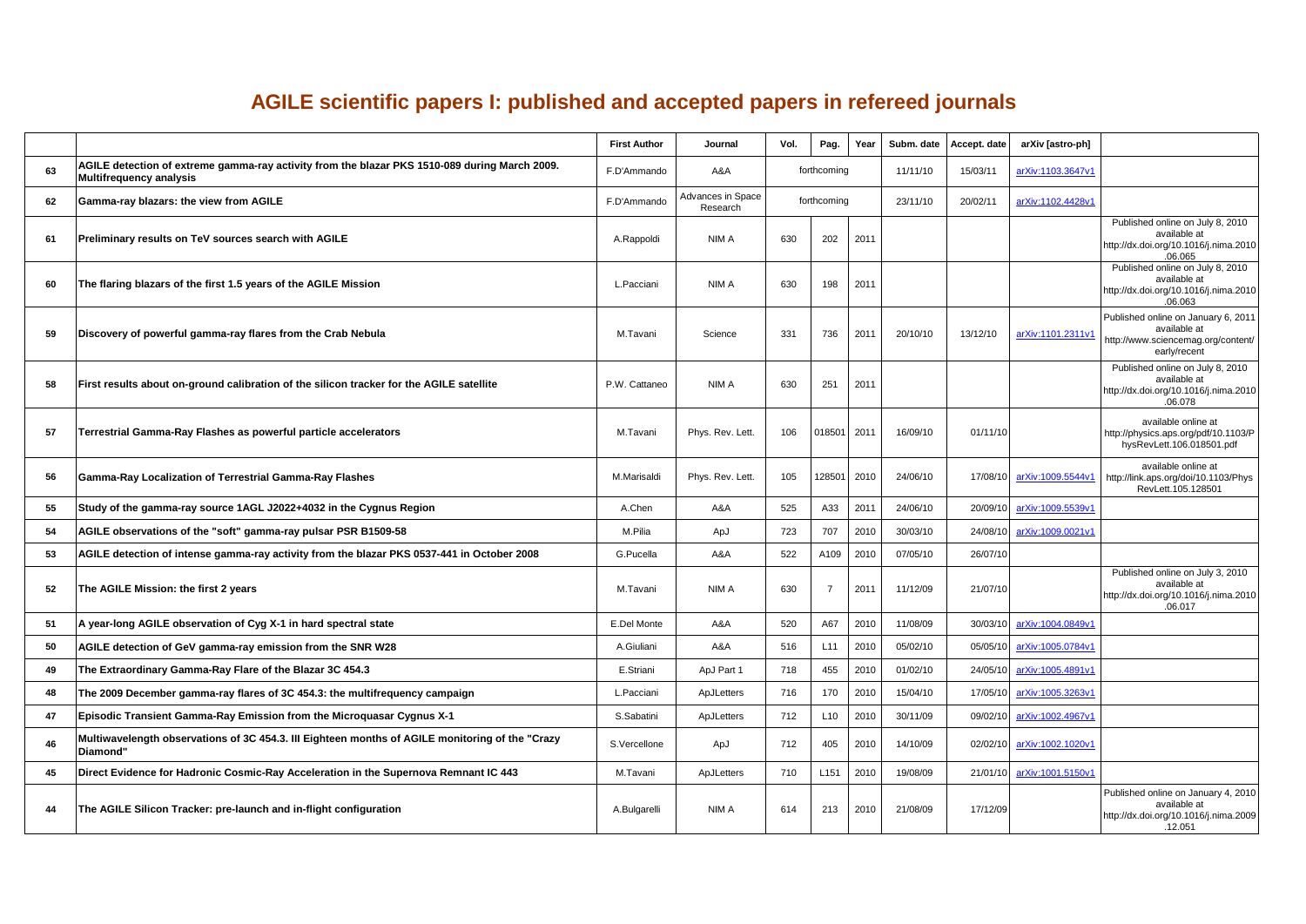## **AGILE scientific papers I: published and accepted papers in refereed journals**

|    |                                                                                                                          | <b>First Author</b> | Journal                       | Vol. | Pag.            | Year | Subm. date | Accept. date | arXiv [astro-ph]  |                                                                                                           |
|----|--------------------------------------------------------------------------------------------------------------------------|---------------------|-------------------------------|------|-----------------|------|------------|--------------|-------------------|-----------------------------------------------------------------------------------------------------------|
| 63 | AGILE detection of extreme gamma-ray activity from the blazar PKS 1510-089 during March 2009.<br>Multifrequency analysis | F.D'Ammando         | A&A                           |      | forthcoming     |      | 11/11/10   | 15/03/11     | arXiv:1103.3647v1 |                                                                                                           |
| 62 | Gamma-ray blazars: the view from AGILE                                                                                   | F.D'Ammando         | Advances in Space<br>Research |      | forthcoming     |      | 23/11/10   | 20/02/11     | arXiv:1102.4428v1 |                                                                                                           |
| 61 | Preliminary results on TeV sources search with AGILE                                                                     | A.Rappoldi          | NIM A                         | 630  | 202             | 2011 |            |              |                   | Published online on July 8, 2010<br>available at<br>http://dx.doi.org/10.1016/j.nima.2010<br>.06.065      |
| 60 | The flaring blazars of the first 1.5 years of the AGILE Mission                                                          | L.Pacciani          | NIM A                         | 630  | 198             | 2011 |            |              |                   | Published online on July 8, 2010<br>available at<br>http://dx.doi.org/10.1016/j.nima.2010<br>.06.063      |
| 59 | Discovery of powerful gamma-ray flares from the Crab Nebula                                                              | M.Tavani            | Science                       | 331  | 736             | 2011 | 20/10/10   | 13/12/10     | arXiv:1101.2311v1 | Published online on January 6, 2011<br>available at<br>http://www.sciencemag.org/content/<br>early/recent |
| 58 | First results about on-ground calibration of the silicon tracker for the AGILE satellite                                 | P.W. Cattaneo       | NIM A                         | 630  | 251             | 2011 |            |              |                   | Published online on July 8, 2010<br>available at<br>http://dx.doi.org/10.1016/j.nima.2010<br>.06.078      |
| 57 | Terrestrial Gamma-Ray Flashes as powerful particle accelerators                                                          | M.Tavani            | Phys. Rev. Lett.              | 106  | 018501          | 2011 | 16/09/10   | 01/11/10     |                   | available online at<br>http://physics.aps.org/pdf/10.1103/P<br>hysRevLett.106.018501.pdf                  |
| 56 | Gamma-Ray Localization of Terrestrial Gamma-Ray Flashes                                                                  | M.Marisaldi         | Phys. Rev. Lett.              | 105  | 128501          | 2010 | 24/06/10   | 17/08/10     | arXiv:1009.5544v1 | available online at<br>http://link.aps.org/doi/10.1103/Phys<br>RevLett.105.128501                         |
| 55 | Study of the gamma-ray source 1AGL J2022+4032 in the Cygnus Region                                                       | A.Chen              | A&A                           | 525  | A33             | 201' | 24/06/10   | 20/09/10     | arXiv:1009.5539v1 |                                                                                                           |
| 54 | AGILE observations of the "soft" gamma-ray pulsar PSR B1509-58                                                           | M.Pilia             | ApJ                           | 723  | 707             | 2010 | 30/03/10   | 24/08/10     | arXiv:1009.0021v1 |                                                                                                           |
| 53 | AGILE detection of intense gamma-ray activity from the blazar PKS 0537-441 in October 2008                               | G.Pucella           | A&A                           | 522  | A109            | 2010 | 07/05/10   | 26/07/10     |                   |                                                                                                           |
| 52 | The AGILE Mission: the first 2 years                                                                                     | M.Tavani            | NIM A                         | 630  | $\overline{7}$  | 2011 | 11/12/09   | 21/07/10     |                   | Published online on July 3, 2010<br>available at<br>http://dx.doi.org/10.1016/j.nima.2010<br>.06.017      |
| 51 | A year-long AGILE observation of Cyg X-1 in hard spectral state                                                          | E.Del Monte         | A&A                           | 520  | A67             | 2010 | 11/08/09   | 30/03/10     | arXiv:1004.0849v1 |                                                                                                           |
| 50 | AGILE detection of GeV gamma-ray emission from the SNR W28                                                               | A.Giuliani          | A&A                           | 516  | L <sub>11</sub> | 2010 | 05/02/10   | 05/05/10     | arXiv:1005.0784v1 |                                                                                                           |
| 49 | The Extraordinary Gamma-Ray Flare of the Blazar 3C 454.3                                                                 | E.Striani           | ApJ Part 1                    | 718  | 455             | 2010 | 01/02/10   | 24/05/10     | arXiv:1005.4891v1 |                                                                                                           |
| 48 | The 2009 December gamma-ray flares of 3C 454.3: the multifrequency campaign                                              | L.Pacciani          | ApJLetters                    | 716  | 170             | 2010 | 15/04/10   | 17/05/10     | arXiv:1005.3263v1 |                                                                                                           |
| 47 | <b>Episodic Transient Gamma-Ray Emission from the Microquasar Cygnus X-1</b>                                             | S.Sabatini          | ApJLetters                    | 712  | L <sub>10</sub> | 2010 | 30/11/09   | 09/02/10     | arXiv:1002.4967v1 |                                                                                                           |
| 46 | Multiwavelength observations of 3C 454.3. III Eighteen months of AGILE monitoring of the "Crazy<br>Diamond"              | S.Vercellone        | ApJ                           | 712  | 405             | 2010 | 14/10/09   | 02/02/10     | arXiv:1002.1020v1 |                                                                                                           |
| 45 | Direct Evidence for Hadronic Cosmic-Ray Acceleration in the Supernova Remnant IC 443                                     | M.Tavani            | ApJLetters                    | 710  | L151            | 2010 | 19/08/09   | 21/01/10     | arXiv:1001.5150v1 |                                                                                                           |
| 44 | The AGILE Silicon Tracker: pre-launch and in-flight configuration                                                        | A.Bulgarelli        | NIM A                         | 614  | 213             | 2010 | 21/08/09   | 17/12/09     |                   | Published online on January 4, 2010<br>available at<br>http://dx.doi.org/10.1016/j.nima.2009<br>.12.051   |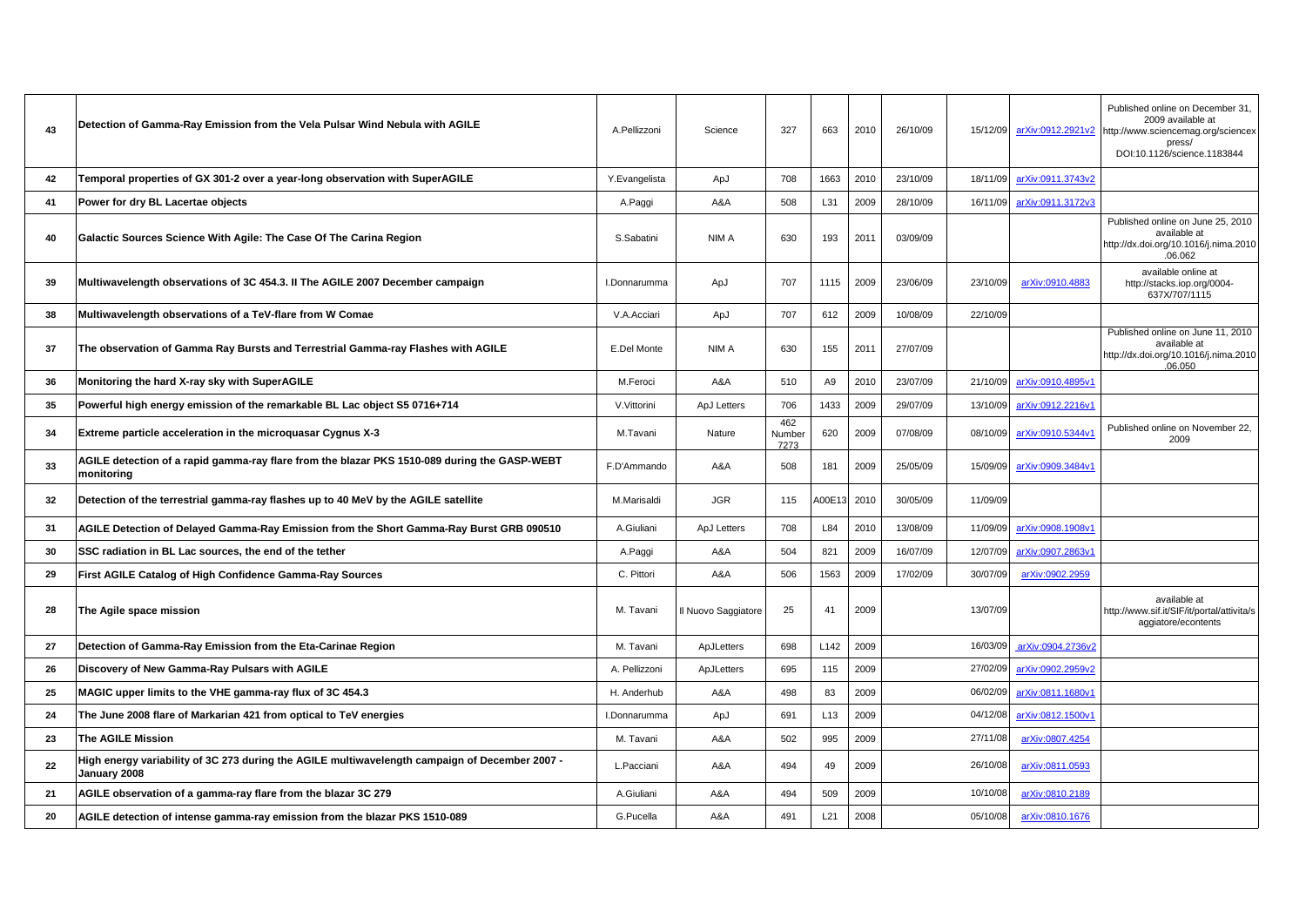| 43 | Detection of Gamma-Ray Emission from the Vela Pulsar Wind Nebula with AGILE                                    | A.Pellizzoni  | Science             | 327                   | 663              | 2010 | 26/10/09 |          |                            | Published online on December 31,<br>2009 available at<br>15/12/09 arXiv:0912.2921v2 http://www.sciencemag.org/sciencex<br>press/<br>DOI:10.1126/science.1183844 |
|----|----------------------------------------------------------------------------------------------------------------|---------------|---------------------|-----------------------|------------------|------|----------|----------|----------------------------|-----------------------------------------------------------------------------------------------------------------------------------------------------------------|
| 42 | Temporal properties of GX 301-2 over a year-long observation with SuperAGILE                                   | Y.Evangelista | ApJ                 | 708                   | 1663             | 2010 | 23/10/09 | 18/11/09 | arXiv:0911.3743v2          |                                                                                                                                                                 |
| 41 | Power for dry BL Lacertae objects                                                                              | A.Paggi       | A&A                 | 508                   | L31              | 2009 | 28/10/09 | 16/11/09 | arXiv:0911.3172v3          |                                                                                                                                                                 |
| 40 | Galactic Sources Science With Agile: The Case Of The Carina Region                                             | S.Sabatini    | NIM A               | 630                   | 193              | 2011 | 03/09/09 |          |                            | Published online on June 25, 2010<br>available at<br>http://dx.doi.org/10.1016/j.nima.2010<br>.06.062                                                           |
| 39 | Multiwavelength observations of 3C 454.3. II The AGILE 2007 December campaign                                  | I.Donnarumma  | ApJ                 | 707                   | 1115             | 2009 | 23/06/09 | 23/10/09 | arXiv:0910.4883            | available online at<br>http://stacks.iop.org/0004-<br>637X/707/1115                                                                                             |
| 38 | Multiwavelength observations of a TeV-flare from W Comae                                                       | V.A.Acciari   | ApJ                 | 707                   | 612              | 2009 | 10/08/09 | 22/10/09 |                            |                                                                                                                                                                 |
| 37 | The observation of Gamma Ray Bursts and Terrestrial Gamma-ray Flashes with AGILE                               | E.Del Monte   | NIM A               | 630                   | 155              | 2011 | 27/07/09 |          |                            | Published online on June 11, 2010<br>available at<br>http://dx.doi.org/10.1016/j.nima.2010<br>.06.050                                                           |
| 36 | Monitoring the hard X-ray sky with SuperAGILE                                                                  | M.Feroci      | A&A                 | 510                   | A <sub>9</sub>   | 2010 | 23/07/09 | 21/10/09 | arXiv:0910.4895v1          |                                                                                                                                                                 |
| 35 | Powerful high energy emission of the remarkable BL Lac object S5 0716+714                                      | V.Vittorini   | ApJ Letters         | 706                   | 1433             | 2009 | 29/07/09 | 13/10/09 | arXiv:0912.2216v1          |                                                                                                                                                                 |
| 34 | Extreme particle acceleration in the microquasar Cygnus X-3                                                    | M.Tavani      | Nature              | 462<br>Number<br>7273 | 620              | 2009 | 07/08/09 | 08/10/09 | arXiv:0910.5344v1          | Published online on November 22,<br>2009                                                                                                                        |
| 33 | AGILE detection of a rapid gamma-ray flare from the blazar PKS 1510-089 during the GASP-WEBT<br>monitoring     | F.D'Ammando   | A&A                 | 508                   | 181              | 2009 | 25/05/09 |          | 15/09/09 arXiv:0909.3484v1 |                                                                                                                                                                 |
| 32 | Detection of the terrestrial gamma-ray flashes up to 40 MeV by the AGILE satellite                             | M.Marisaldi   | JGR                 | 115                   | A00E13           | 2010 | 30/05/09 | 11/09/09 |                            |                                                                                                                                                                 |
| 31 | AGILE Detection of Delayed Gamma-Ray Emission from the Short Gamma-Ray Burst GRB 090510                        | A.Giuliani    | ApJ Letters         | 708                   | L84              | 2010 | 13/08/09 | 11/09/09 | arXiv:0908.1908v1          |                                                                                                                                                                 |
| 30 | SSC radiation in BL Lac sources, the end of the tether                                                         | A.Paggi       | A&A                 | 504                   | 821              | 2009 | 16/07/09 | 12/07/09 | arXiv:0907.2863v1          |                                                                                                                                                                 |
| 29 | First AGILE Catalog of High Confidence Gamma-Ray Sources                                                       | C. Pittori    | A&A                 | 506                   | 1563             | 2009 | 17/02/09 | 30/07/09 | arXiv:0902.2959            |                                                                                                                                                                 |
| 28 | The Agile space mission                                                                                        | M. Tavani     | Il Nuovo Saggiatore | 25                    | 41               | 2009 |          | 13/07/09 |                            | available at<br>http://www.sif.it/SIF/it/portal/attivita/s<br>aggiatore/econtents                                                                               |
| 27 | Detection of Gamma-Ray Emission from the Eta-Carinae Region                                                    | M. Tavani     | ApJLetters          | 698                   | L <sub>142</sub> | 2009 |          | 16/03/09 | arXiv:0904.2736v2          |                                                                                                                                                                 |
| 26 | Discovery of New Gamma-Ray Pulsars with AGILE                                                                  | A. Pellizzoni | ApJLetters          | 695                   | 115              | 2009 |          | 27/02/09 | arXiv:0902.2959v2          |                                                                                                                                                                 |
| 25 | MAGIC upper limits to the VHE gamma-ray flux of 3C 454.3                                                       | H. Anderhub   | A&A                 | 498                   | 83               | 2009 |          | 06/02/09 | arXiv:0811.1680v1          |                                                                                                                                                                 |
| 24 | The June 2008 flare of Markarian 421 from optical to TeV energies                                              | I.Donnarumma  | ApJ                 | 691                   | L <sub>13</sub>  | 2009 |          | 04/12/08 | arXiv:0812.1500v1          |                                                                                                                                                                 |
| 23 | <b>The AGILE Mission</b>                                                                                       | M. Tavani     | A&A                 | 502                   | 995              | 2009 |          | 27/11/08 | arXiv:0807.4254            |                                                                                                                                                                 |
| 22 | High energy variability of 3C 273 during the AGILE multiwavelength campaign of December 2007 -<br>January 2008 | L.Pacciani    | A&A                 | 494                   | 49               | 2009 |          | 26/10/08 | arXiv:0811.0593            |                                                                                                                                                                 |
| 21 | AGILE observation of a gamma-ray flare from the blazar 3C 279                                                  | A.Giuliani    | A&A                 | 494                   | 509              | 2009 |          | 10/10/08 | arXiv:0810.2189            |                                                                                                                                                                 |
| 20 | AGILE detection of intense gamma-ray emission from the blazar PKS 1510-089                                     | G.Pucella     | A&A                 | 491                   | L21              | 2008 |          | 05/10/08 | arXiv:0810.1676            |                                                                                                                                                                 |
|    |                                                                                                                |               |                     |                       |                  |      |          |          |                            |                                                                                                                                                                 |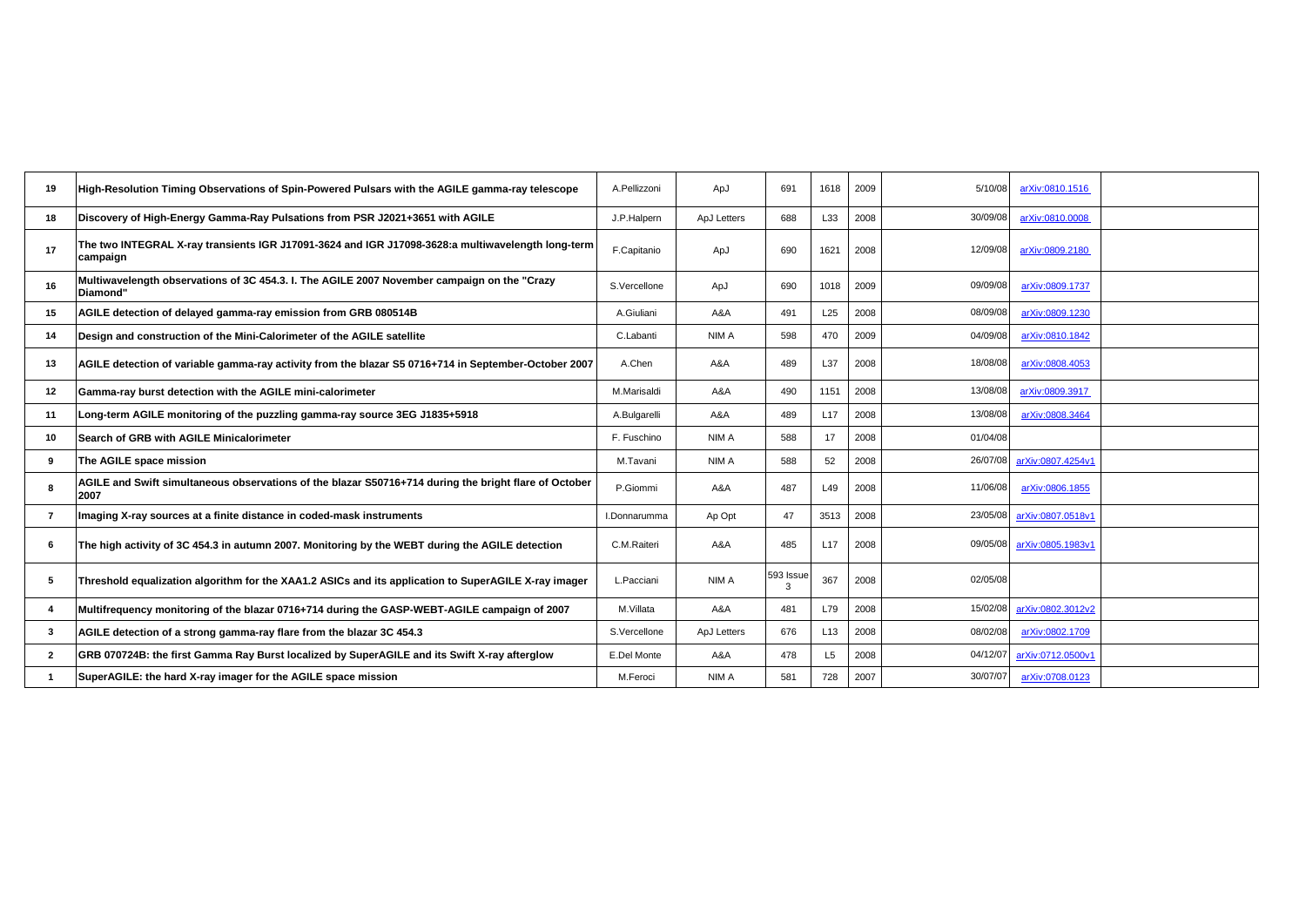| 19             | High-Resolution Timing Observations of Spin-Powered Pulsars with the AGILE gamma-ray telescope                | A.Pellizzoni | ApJ         | 691            | 1618            | 2009 | 5/10/08<br>arXiv:0810.1516    |
|----------------|---------------------------------------------------------------------------------------------------------------|--------------|-------------|----------------|-----------------|------|-------------------------------|
| 18             | Discovery of High-Energy Gamma-Ray Pulsations from PSR J2021+3651 with AGILE                                  | J.P.Halpern  | ApJ Letters | 688            | L33             | 2008 | 30/09/08<br>arXiv:0810.0008   |
| 17             | The two INTEGRAL X-ray transients IGR J17091-3624 and IGR J17098-3628:a multiwavelength long-term<br>campaign | F.Capitanio  | ApJ         | 690            | 1621            | 2008 | 12/09/08<br>arXiv:0809.2180   |
| 16             | Multiwavelength observations of 3C 454.3. I. The AGILE 2007 November campaign on the "Crazy<br>Diamond"       | S.Vercellone | ApJ         | 690            | 1018            | 2009 | 09/09/08<br>arXiv:0809.1737   |
| 15             | AGILE detection of delayed gamma-ray emission from GRB 080514B                                                | A.Giuliani   | A&A         | 491            | L25             | 2008 | 08/09/08<br>arXiv:0809.1230   |
| 14             | Design and construction of the Mini-Calorimeter of the AGILE satellite                                        | C.Labanti    | NIM A       | 598            | 470             | 2009 | 04/09/08<br>arXiv:0810.1842   |
| 13             | AGILE detection of variable gamma-ray activity from the blazar S5 0716+714 in September-October 2007          | A.Chen       | A&A         | 489            | L37             | 2008 | 18/08/08<br>arXiv:0808.4053   |
| 12             | Gamma-ray burst detection with the AGILE mini-calorimeter                                                     | M.Marisaldi  | A&A         | 490            | 1151            | 2008 | 13/08/08<br>arXiv:0809.3917   |
| 11             | Long-term AGILE monitoring of the puzzling gamma-ray source 3EG J1835+5918                                    | A.Bulgarelli | A&A         | 489            | L17             | 2008 | 13/08/08<br>arXiv:0808.3464   |
| 10             | Search of GRB with AGILE Minicalorimeter                                                                      | F. Fuschino  | NIM A       | 588            | 17              | 2008 | 01/04/08                      |
| 9              | The AGILE space mission                                                                                       | M.Tavani     | NIM A       | 588            | 52              | 2008 | 26/07/08<br>arXiv:0807.4254v1 |
| 8              | AGILE and Swift simultaneous observations of the blazar S50716+714 during the bright flare of October<br>2007 | P.Giommi     | A&A         | 487            | L49             | 2008 | 11/06/08<br>arXiv:0806.1855   |
| $\overline{7}$ | Imaging X-ray sources at a finite distance in coded-mask instruments                                          | I.Donnarumma | Ap Opt      | 47             | 3513            | 2008 | arXiv:0807.0518v1<br>23/05/08 |
| 6              | The high activity of 3C 454.3 in autumn 2007. Monitoring by the WEBT during the AGILE detection               | C.M.Raiteri  | A&A         | 485            | L <sub>17</sub> | 2008 | 09/05/08<br>arXiv:0805.1983v1 |
| 5              | Threshold equalization algorithm for the XAA1.2 ASICs and its application to SuperAGILE X-ray imager          | L.Pacciani   | NIM A       | 593 Issue<br>3 | 367             | 2008 | 02/05/08                      |
| -4             | Multifrequency monitoring of the blazar 0716+714 during the GASP-WEBT-AGILE campaign of 2007                  | M.Villata    | A&A         | 481            | L79             | 2008 | 15/02/08<br>arXiv:0802.3012v2 |
| $\mathbf{3}$   | AGILE detection of a strong gamma-ray flare from the blazar 3C 454.3                                          | S.Vercellone | ApJ Letters | 676            | L <sub>13</sub> | 2008 | 08/02/08<br>arXiv:0802.1709   |
| $\overline{2}$ | GRB 070724B: the first Gamma Ray Burst localized by SuperAGILE and its Swift X-ray afterglow                  | E.Del Monte  | A&A         | 478            | L <sub>5</sub>  | 2008 | 04/12/07<br>arXiv:0712.0500v1 |
|                | SuperAGILE: the hard X-ray imager for the AGILE space mission                                                 | M.Feroci     | NIM A       | 581            | 728             | 2007 | 30/07/07<br>arXiv:0708.0123   |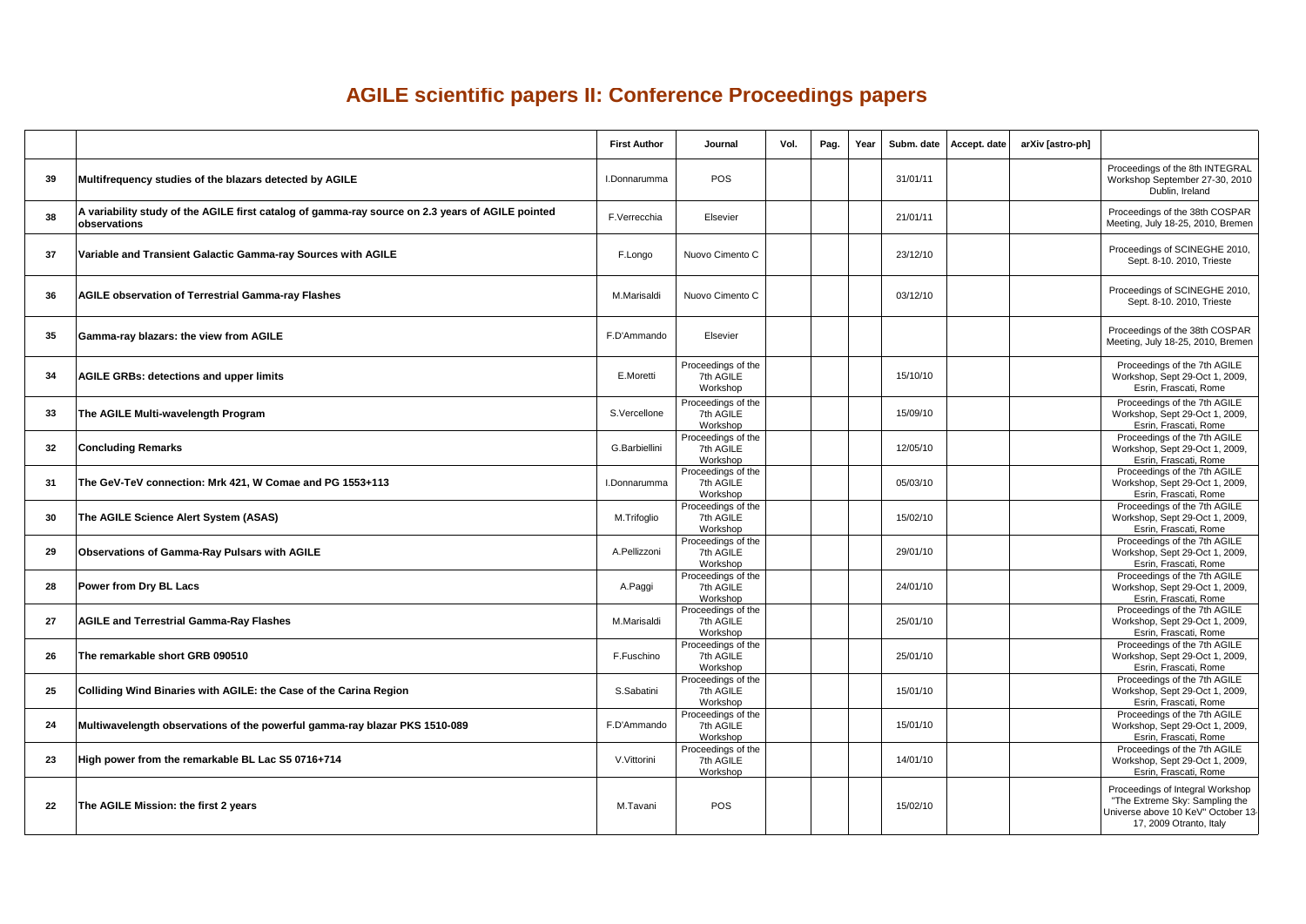## **AGILE scientific papers II: Conference Proceedings papers**

|    |                                                                                                                  | <b>First Author</b> | Journal                                     | Vol. | Pag. | Year     | Subm. date   Accept. date | arXiv [astro-ph] |                                                                                                                                     |
|----|------------------------------------------------------------------------------------------------------------------|---------------------|---------------------------------------------|------|------|----------|---------------------------|------------------|-------------------------------------------------------------------------------------------------------------------------------------|
| 39 | Multifrequency studies of the blazars detected by AGILE                                                          | I.Donnarumma        | <b>POS</b>                                  |      |      | 31/01/11 |                           |                  | Proceedings of the 8th INTEGRAL<br>Workshop September 27-30, 2010<br>Dublin, Ireland                                                |
| 38 | A variability study of the AGILE first catalog of gamma-ray source on 2.3 years of AGILE pointed<br>observations | F.Verrecchia        | Elsevier                                    |      |      | 21/01/11 |                           |                  | Proceedings of the 38th COSPAR<br>Meeting, July 18-25, 2010, Bremen                                                                 |
| 37 | Variable and Transient Galactic Gamma-ray Sources with AGILE                                                     | F.Longo             | Nuovo Cimento C                             |      |      | 23/12/10 |                           |                  | Proceedings of SCINEGHE 2010,<br>Sept. 8-10. 2010, Trieste                                                                          |
| 36 | <b>AGILE observation of Terrestrial Gamma-ray Flashes</b>                                                        | M.Marisaldi         | Nuovo Cimento C                             |      |      | 03/12/10 |                           |                  | Proceedings of SCINEGHE 2010,<br>Sept. 8-10. 2010, Trieste                                                                          |
| 35 | Gamma-ray blazars: the view from AGILE                                                                           | F.D'Ammando         | Elsevier                                    |      |      |          |                           |                  | Proceedings of the 38th COSPAR<br>Meeting, July 18-25, 2010, Bremen                                                                 |
| 34 | <b>AGILE GRBs: detections and upper limits</b>                                                                   | E.Moretti           | Proceedings of the<br>7th AGILE<br>Workshop |      |      | 15/10/10 |                           |                  | Proceedings of the 7th AGILE<br>Workshop, Sept 29-Oct 1, 2009,<br>Esrin, Frascati, Rome                                             |
| 33 | The AGILE Multi-wavelength Program                                                                               | S.Vercellone        | Proceedings of the<br>7th AGILE<br>Workshop |      |      | 15/09/10 |                           |                  | Proceedings of the 7th AGILE<br>Workshop, Sept 29-Oct 1, 2009,<br>Esrin, Frascati, Rome                                             |
| 32 | <b>Concluding Remarks</b>                                                                                        | G.Barbiellini       | Proceedings of the<br>7th AGILE<br>Workshop |      |      | 12/05/10 |                           |                  | Proceedings of the 7th AGILE<br>Workshop, Sept 29-Oct 1, 2009,<br>Esrin, Frascati, Rome                                             |
| 31 | The GeV-TeV connection: Mrk 421, W Comae and PG 1553+113                                                         | I.Donnarumma        | Proceedings of the<br>7th AGILE<br>Workshop |      |      | 05/03/10 |                           |                  | Proceedings of the 7th AGILE<br>Workshop, Sept 29-Oct 1, 2009,<br>Esrin, Frascati, Rome                                             |
| 30 | The AGILE Science Alert System (ASAS)                                                                            | M.Trifoglio         | Proceedings of the<br>7th AGILE<br>Workshop |      |      | 15/02/10 |                           |                  | Proceedings of the 7th AGILE<br>Workshop, Sept 29-Oct 1, 2009,<br>Esrin, Frascati, Rome                                             |
| 29 | Observations of Gamma-Ray Pulsars with AGILE                                                                     | A.Pellizzoni        | Proceedings of the<br>7th AGILE<br>Workshop |      |      | 29/01/10 |                           |                  | Proceedings of the 7th AGILE<br>Workshop, Sept 29-Oct 1, 2009,<br>Esrin, Frascati, Rome                                             |
| 28 | Power from Dry BL Lacs                                                                                           | A.Paggi             | Proceedings of the<br>7th AGILE<br>Workshop |      |      | 24/01/10 |                           |                  | Proceedings of the 7th AGILE<br>Workshop, Sept 29-Oct 1, 2009,<br>Esrin, Frascati, Rome                                             |
| 27 | <b>AGILE and Terrestrial Gamma-Ray Flashes</b>                                                                   | M.Marisaldi         | Proceedings of the<br>7th AGILE<br>Workshop |      |      | 25/01/10 |                           |                  | Proceedings of the 7th AGILE<br>Workshop, Sept 29-Oct 1, 2009,<br>Esrin, Frascati, Rome                                             |
| 26 | The remarkable short GRB 090510                                                                                  | F.Fuschino          | Proceedings of the<br>7th AGILE<br>Workshop |      |      | 25/01/10 |                           |                  | Proceedings of the 7th AGILE<br>Workshop, Sept 29-Oct 1, 2009,<br>Esrin, Frascati, Rome                                             |
| 25 | Colliding Wind Binaries with AGILE: the Case of the Carina Region                                                | S.Sabatini          | Proceedings of the<br>7th AGILE<br>Workshop |      |      | 15/01/10 |                           |                  | Proceedings of the 7th AGILE<br>Workshop, Sept 29-Oct 1, 2009,<br>Esrin, Frascati, Rome                                             |
| 24 | Multiwavelength observations of the powerful gamma-ray blazar PKS 1510-089                                       | F.D'Ammando         | Proceedings of the<br>7th AGILE<br>Workshop |      |      | 15/01/10 |                           |                  | Proceedings of the 7th AGILE<br>Workshop, Sept 29-Oct 1, 2009,<br>Esrin, Frascati, Rome                                             |
| 23 | High power from the remarkable BL Lac S5 0716+714                                                                | V.Vittorini         | Proceedings of the<br>7th AGILE<br>Workshop |      |      | 14/01/10 |                           |                  | Proceedings of the 7th AGILE<br>Workshop, Sept 29-Oct 1, 2009,<br>Esrin, Frascati, Rome                                             |
| 22 | The AGILE Mission: the first 2 years                                                                             | M.Tavani            | <b>POS</b>                                  |      |      | 15/02/10 |                           |                  | Proceedings of Integral Workshop<br>"The Extreme Sky: Sampling the<br>Universe above 10 KeV" October 13-<br>17, 2009 Otranto, Italy |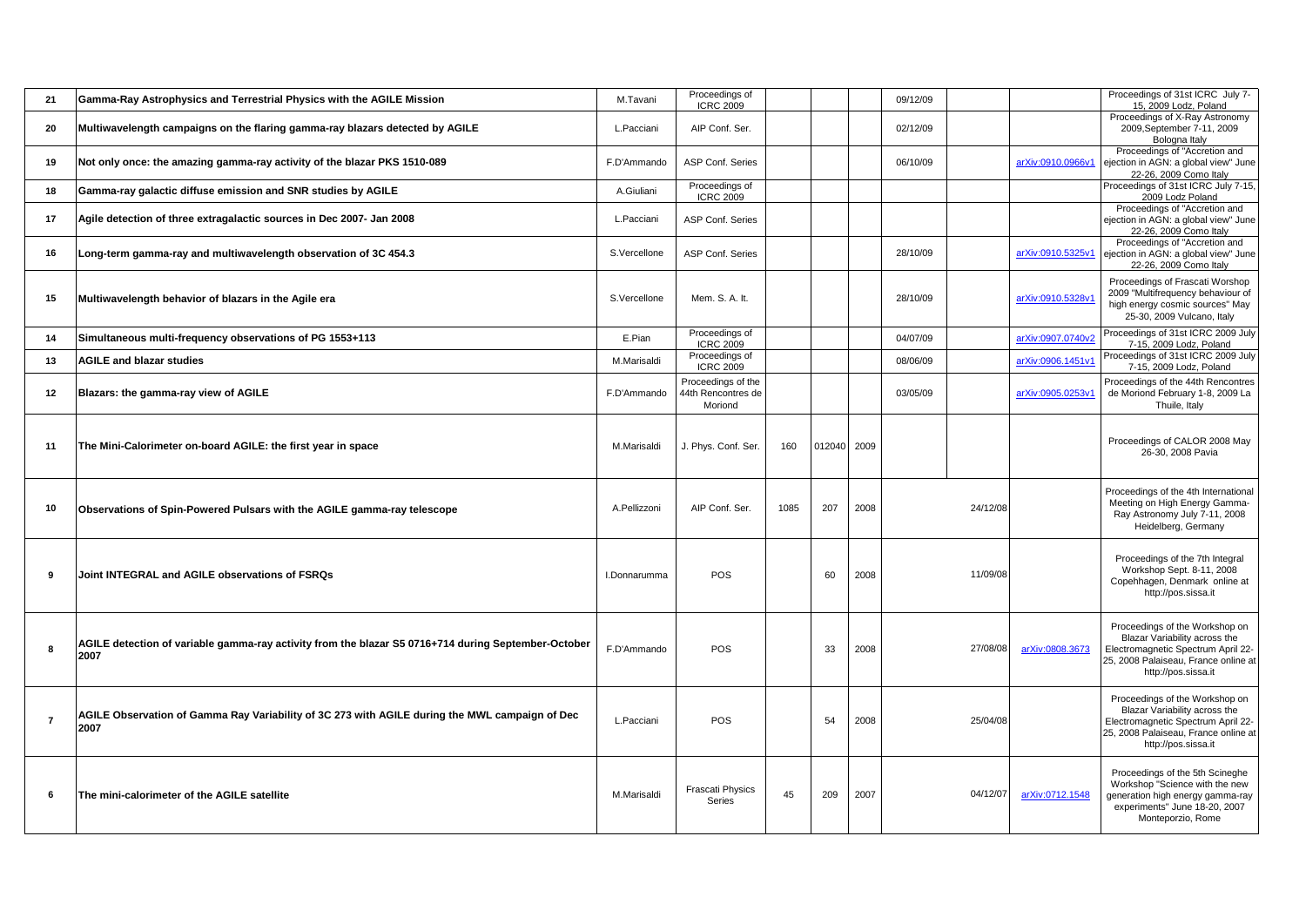| 21             | Gamma-Ray Astrophysics and Terrestrial Physics with the AGILE Mission                                       | M.Tavani     | Proceedings of<br><b>ICRC 2009</b>                  |      |             |      | 09/12/09 |          |                   | Proceedings of 31st ICRC July 7-<br>15, 2009 Lodz, Poland                                                                                                            |
|----------------|-------------------------------------------------------------------------------------------------------------|--------------|-----------------------------------------------------|------|-------------|------|----------|----------|-------------------|----------------------------------------------------------------------------------------------------------------------------------------------------------------------|
| 20             | Multiwavelength campaigns on the flaring gamma-ray blazars detected by AGILE                                | L.Pacciani   | AIP Conf. Ser.                                      |      |             |      | 02/12/09 |          |                   | Proceedings of X-Ray Astronomy<br>2009, September 7-11, 2009<br>Bologna Italy                                                                                        |
| 19             | Not only once: the amazing gamma-ray activity of the blazar PKS 1510-089                                    | F.D'Ammando  | ASP Conf. Series                                    |      |             |      | 06/10/09 |          | arXiv:0910.0966v1 | Proceedings of "Accretion and<br>ejection in AGN: a global view" June<br>22-26, 2009 Como Italy                                                                      |
| 18             | Gamma-ray galactic diffuse emission and SNR studies by AGILE                                                | A.Giuliani   | Proceedings of<br><b>ICRC 2009</b>                  |      |             |      |          |          |                   | Proceedings of 31st ICRC July 7-15,<br>2009 Lodz Poland                                                                                                              |
| 17             | Agile detection of three extragalactic sources in Dec 2007- Jan 2008                                        | L.Pacciani   | ASP Conf. Series                                    |      |             |      |          |          |                   | Proceedings of "Accretion and<br>ejection in AGN: a global view" June<br>22-26, 2009 Como Italy                                                                      |
| 16             | Long-term gamma-ray and multiwavelength observation of 3C 454.3                                             | S.Vercellone | ASP Conf. Series                                    |      |             |      | 28/10/09 |          | arXiv:0910.5325v1 | Proceedings of "Accretion and<br>ejection in AGN: a global view" June<br>22-26, 2009 Como Italy                                                                      |
| 15             | Multiwavelength behavior of blazars in the Agile era                                                        | S.Vercellone | Mem. S. A. It.                                      |      |             |      | 28/10/09 |          | arXiv:0910.5328v1 | Proceedings of Frascati Worshop<br>2009 "Multifrequency behaviour of<br>high energy cosmic sources" May<br>25-30, 2009 Vulcano, Italy                                |
| 14             | Simultaneous multi-frequency observations of PG 1553+113                                                    | E.Pian       | Proceedings of<br><b>ICRC 2009</b>                  |      |             |      | 04/07/09 |          | arXiv:0907.0740v2 | Proceedings of 31st ICRC 2009 July<br>7-15, 2009 Lodz, Poland                                                                                                        |
| 13             | <b>AGILE and blazar studies</b>                                                                             | M.Marisaldi  | Proceedings of<br><b>ICRC 2009</b>                  |      |             |      | 08/06/09 |          | arXiv:0906.1451v1 | Proceedings of 31st ICRC 2009 July<br>7-15, 2009 Lodz, Poland                                                                                                        |
| 12             | Blazars: the gamma-ray view of AGILE                                                                        | F.D'Ammando  | Proceedings of the<br>44th Rencontres de<br>Moriond |      |             |      | 03/05/09 |          | arXiv:0905.0253v1 | Proceedings of the 44th Rencontres<br>de Moriond February 1-8, 2009 La<br>Thuile, Italy                                                                              |
| 11             | The Mini-Calorimeter on-board AGILE: the first year in space                                                | M.Marisaldi  | J. Phys. Conf. Ser.                                 | 160  | 012040 2009 |      |          |          |                   | Proceedings of CALOR 2008 May<br>26-30, 2008 Pavia                                                                                                                   |
| 10             | Observations of Spin-Powered Pulsars with the AGILE gamma-ray telescope                                     | A.Pellizzoni | AIP Conf. Ser.                                      | 1085 | 207         | 2008 |          | 24/12/08 |                   | Proceedings of the 4th International<br>Meeting on High Energy Gamma-<br>Ray Astronomy July 7-11, 2008<br>Heidelberg, Germany                                        |
| 9              | Joint INTEGRAL and AGILE observations of FSRQs                                                              | I.Donnarumma | POS                                                 |      | 60          | 2008 |          | 11/09/08 |                   | Proceedings of the 7th Integral<br>Workshop Sept. 8-11, 2008<br>Copehhagen, Denmark online at<br>http://pos.sissa.it                                                 |
| 8              | AGILE detection of variable gamma-ray activity from the blazar S5 0716+714 during September-October<br>2007 | F.D'Ammando  | POS                                                 |      | 33          | 2008 |          | 27/08/08 | arXiv:0808.3673   | Proceedings of the Workshop on<br>Blazar Variability across the<br>Electromagnetic Spectrum April 22-<br>25, 2008 Palaiseau, France online at<br>http://pos.sissa.it |
| $\overline{7}$ | AGILE Observation of Gamma Ray Variability of 3C 273 with AGILE during the MWL campaign of Dec<br>2007      | L.Pacciani   | POS                                                 |      | 54          | 2008 |          | 25/04/08 |                   | Proceedings of the Workshop on<br>Blazar Variability across the<br>Electromagnetic Spectrum April 22-<br>25, 2008 Palaiseau, France online at<br>http://pos.sissa.it |
| 6              | The mini-calorimeter of the AGILE satellite                                                                 | M.Marisaldi  | <b>Frascati Physics</b><br>Series                   | 45   | 209         | 2007 |          | 04/12/07 | arXiv:0712.1548   | Proceedings of the 5th Scineghe<br>Workshop "Science with the new<br>generation high energy gamma-ray<br>experiments" June 18-20, 2007<br>Monteporzio, Rome          |